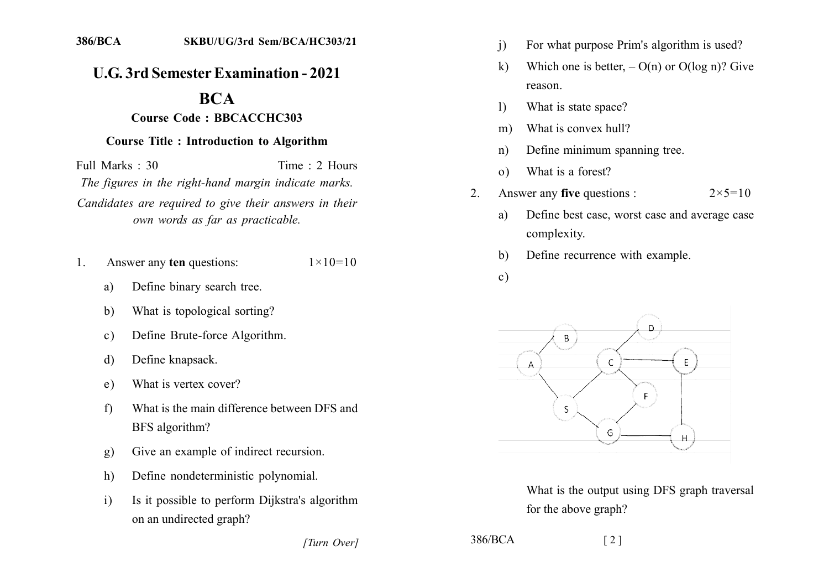## **U.G. 3rd Semester Examination - 2021**

## **BCA**

## **Course Code: BBCACCHC303**

## **Course Title : Introduction to Algorithm**

Full Marks  $\cdot$  30 Time  $\cdot$  2 Hours The figures in the right-hand margin indicate marks. Candidates are required to give their answers in their own words as far as practicable.

- Answer any ten questions:  $1 \times 10 = 10$  $\mathbf{1}$ 
	- Define binary search tree. a)
	- $b)$ What is topological sorting?
	- Define Brute-force Algorithm.  $\mathbf{c}$ )
	- Define knapsack. d)
	- What is vertex cover? e)
	- What is the main difference between DFS and  $f$ BFS algorithm?
	- Give an example of indirect recursion.  $g)$
	- Define nondeterministic polynomial.  $h)$
	- $\overline{1}$ Is it possible to perform Dijkstra's algorithm on an undirected graph?
- $\mathbf{i}$ For what purpose Prim's algorithm is used?
- $\mathbf{k}$ Which one is better,  $- O(n)$  or  $O(\log n)$ ? Give reason.
- What is state space?  $\mathbf{D}$
- What is convex hull?  $m)$
- Define minimum spanning tree.  $n)$
- What is a forest?  $\Omega$
- Answer any **five** questions :  $2 \times 5 = 10$  $2.$ 
	- Define best case, worst case and average case a) complexity.
	- Define recurrence with example.  $h)$
	- $\mathbf{c})$



What is the output using DFS graph traversal for the above graph?

[Turn Over]

 $386/BCA$ 

 $\lceil 2 \rceil$